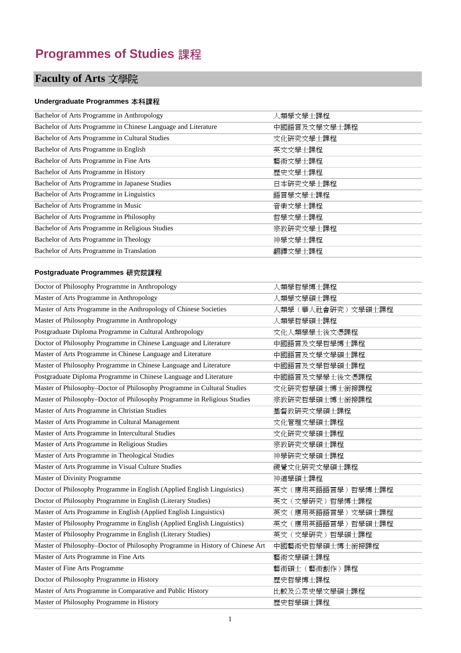## **Programmes of Studies** 課程

# **Faculty of Arts** 文學院

#### **Undergraduate Programmes** 本科課程

| Bachelor of Arts Programme in Anthropology                    | 人類學文學士課程     |
|---------------------------------------------------------------|--------------|
| Bachelor of Arts Programme in Chinese Language and Literature | 中國語言及文學文學士課程 |
| Bachelor of Arts Programme in Cultural Studies                | 文化研究文學士課程    |
| Bachelor of Arts Programme in English                         | 英文文學士課程      |
| Bachelor of Arts Programme in Fine Arts                       | 藝術文學士課程      |
| Bachelor of Arts Programme in History                         | 歷史文學士課程      |
| Bachelor of Arts Programme in Japanese Studies                | 日本研究文學士課程    |
| Bachelor of Arts Programme in Linguistics                     | 語言學文學士課程     |
| Bachelor of Arts Programme in Music                           | 音樂文學士課程      |
| Bachelor of Arts Programme in Philosophy                      | 哲學文學士課程      |
| Bachelor of Arts Programme in Religious Studies               | 宗教研究文學士課程    |
| Bachelor of Arts Programme in Theology                        | 神學文學士課程      |
| Bachelor of Arts Programme in Translation                     | 翻譯文學士課程      |

| Doctor of Philosophy Programme in Anthropology                                | 人類學哲學博士課程           |
|-------------------------------------------------------------------------------|---------------------|
| Master of Arts Programme in Anthropology                                      | 人類學文學碩士課程           |
| Master of Arts Programme in the Anthropology of Chinese Societies             | 人類學 (華人社會研究) 文學碩士課程 |
| Master of Philosophy Programme in Anthropology                                | 人類學哲學碩士課程           |
| Postgraduate Diploma Programme in Cultural Anthropology                       | 文化人類學學士後文憑課程        |
| Doctor of Philosophy Programme in Chinese Language and Literature             | 中國語言及文學哲學博士課程       |
| Master of Arts Programme in Chinese Language and Literature                   | 中國語言及文學文學碩士課程       |
| Master of Philosophy Programme in Chinese Language and Literature             | 中國語言及文學哲學碩士課程       |
| Postgraduate Diploma Programme in Chinese Language and Literature             | 中國語言及文學學士後文憑課程      |
| Master of Philosophy-Doctor of Philosophy Programme in Cultural Studies       | 文化研究哲學碩士博士銜接課程      |
| Master of Philosophy-Doctor of Philosophy Programme in Religious Studies      | 宗教研究哲學碩士博士銜接課程      |
| Master of Arts Programme in Christian Studies                                 | 基督教研究文學碩士課程         |
| Master of Arts Programme in Cultural Management                               | 文化管理文學碩士課程          |
| Master of Arts Programme in Intercultural Studies                             | 文化研究文學碩士課程          |
| Master of Arts Programme in Religious Studies                                 | 宗教研究文學碩士課程          |
| Master of Arts Programme in Theological Studies                               | 神學研究文學碩士課程          |
| Master of Arts Programme in Visual Culture Studies                            | 視覺文化研究文學碩士課程        |
| Master of Divinity Programme                                                  | 神道學碩士課程             |
| Doctor of Philosophy Programme in English (Applied English Linguistics)       | 英文 (應用英語語言學) 哲學博士課程 |
| Doctor of Philosophy Programme in English (Literary Studies)                  | 英文 (文學研究) 哲學博士課程    |
| Master of Arts Programme in English (Applied English Linguistics)             | 英文 (應用英語語言學) 文學碩士課程 |
| Master of Philosophy Programme in English (Applied English Linguistics)       | 英文 (應用英語語言學) 哲學碩士課程 |
| Master of Philosophy Programme in English (Literary Studies)                  | 英文 (文學研究) 哲學碩士課程    |
| Master of Philosophy-Doctor of Philosophy Programme in History of Chinese Art | 中國藝術史哲學碩士博士銜接課程     |
| Master of Arts Programme in Fine Arts                                         | 藝術文學碩士課程            |
| Master of Fine Arts Programme                                                 | 藝術碩士 (藝術創作)課程       |
| Doctor of Philosophy Programme in History                                     | 歷史哲學博士課程            |
| Master of Arts Programme in Comparative and Public History                    | 比較及公眾史學文學碩士課程       |
| Master of Philosophy Programme in History                                     | 歷史哲學碩士課程            |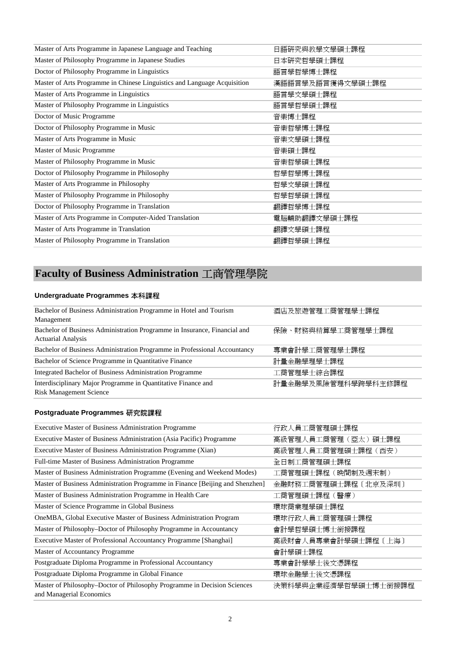| 日語硏究與教學文學碩士課程    |
|------------------|
| 日本研究哲學碩士課程       |
| 語言學哲學博士課程        |
| 漢語語言學及語言獲得文學碩士課程 |
| 語言學文學碩士課程        |
| 語言學哲學碩士課程        |
| 音樂博士課程           |
| 音樂哲學博士課程         |
| 音樂文學碩士課程         |
| 音樂碩士課程           |
| 音樂哲學碩士課程         |
| 哲學哲學博士課程         |
| 哲學文學碩士課程         |
| 哲學哲學碩士課程         |
| 翻譯哲學博士課程         |
| 電腦輔助翻譯文學碩士課程     |
| 翻譯文學碩士課程         |
| 翻譯哲學碩士課程         |
|                  |

## **Faculty of Business Administration** 工商管理學院

#### **Undergraduate Programmes** 本科課程

| Bachelor of Business Administration Programme in Hotel and Tourism        | 酒店及旅遊管理工商管理學士課程     |
|---------------------------------------------------------------------------|---------------------|
| Management                                                                |                     |
| Bachelor of Business Administration Programme in Insurance, Financial and | 保險、財務與精算學工商管理學士課程   |
| <b>Actuarial Analysis</b>                                                 |                     |
| Bachelor of Business Administration Programme in Professional Accountancy | 專業會計學工商管理學士課程       |
| Bachelor of Science Programme in Quantitative Finance                     | 計量金融學理學士課程          |
| Integrated Bachelor of Business Administration Programme                  | 工商管理學士綜合課程          |
| Interdisciplinary Major Programme in Quantitative Finance and             | 計量金融學及風險管理科學跨學科主修課程 |
| <b>Risk Management Science</b>                                            |                     |

| <b>Executive Master of Business Administration Programme</b>                                         | 行政人員工商管理碩士課程         |
|------------------------------------------------------------------------------------------------------|----------------------|
| Executive Master of Business Administration (Asia Pacific) Programme                                 | 高級管理人員工商管理 (亞太) 碩士課程 |
| Executive Master of Business Administration Programme (Xian)                                         | 高級管理人員工商管理碩士課程 (西安)  |
| Full-time Master of Business Administration Programme                                                | 全日制工商管理碩士課程          |
| Master of Business Administration Programme (Evening and Weekend Modes)                              | 工商管理碩士課程 (晩間制及週末制)   |
| Master of Business Administration Programme in Finance [Beijing and Shenzhen]                        | 金融財務工商管理碩士課程〔北京及深圳〕  |
| Master of Business Administration Programme in Health Care                                           | 工商管理碩士課程 (醫療)        |
| Master of Science Programme in Global Business                                                       | 環球商業理學碩士課程           |
| OneMBA, Global Executive Master of Business Administration Program                                   | 環球行政人員工商管理碩士課程       |
| Master of Philosophy–Doctor of Philosophy Programme in Accountancy                                   | 會計學哲學碩士博士銜接課程        |
| Executive Master of Professional Accountancy Programme [Shanghai]                                    | 高級財會人員專業會計學碩士課程〔上海〕  |
| Master of Accountancy Programme                                                                      | 會計學碩士課程              |
| Postgraduate Diploma Programme in Professional Accountancy                                           | 專業會計學學士後文憑課程         |
| Postgraduate Diploma Programme in Global Finance                                                     | 環球金融學士後文憑課程          |
| Master of Philosophy-Doctor of Philosophy Programme in Decision Sciences<br>and Managerial Economics | 決策科學與企業經濟學哲學碩士博士銜接課程 |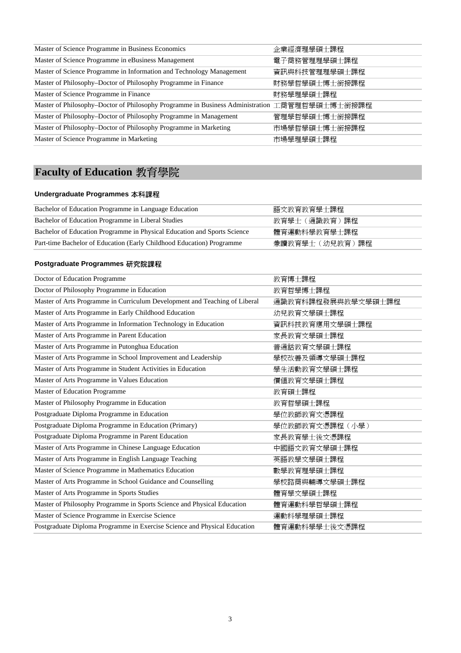| Master of Science Programme in Business Economics                              | 企業經濟理學碩士課程     |
|--------------------------------------------------------------------------------|----------------|
| Master of Science Programme in eBusiness Management                            | 電子商務管理理學碩士課程   |
| Master of Science Programme in Information and Technology Management           | 資訊與科技管理理學碩士課程  |
| Master of Philosophy–Doctor of Philosophy Programme in Finance                 | 財務學哲學碩士博士銜接課程  |
| Master of Science Programme in Finance                                         | 財務學理學碩士課程      |
| Master of Philosophy–Doctor of Philosophy Programme in Business Administration | 工商管理哲學碩士博士銜接課程 |
| Master of Philosophy-Doctor of Philosophy Programme in Management              | 管理學哲學碩士博士銜接課程  |
| Master of Philosophy-Doctor of Philosophy Programme in Marketing               | 市場學哲學碩士博士銜接課程  |
| Master of Science Programme in Marketing                                       | 市場學理學碩士課程      |

# **Faculty of Education** 教育學院

#### **Undergraduate Programmes** 本科課程

| Bachelor of Education Programme in Language Education                    | 語文教育教育學十課程     |
|--------------------------------------------------------------------------|----------------|
| Bachelor of Education Programme in Liberal Studies                       | 教育學十(涌識教育)課程   |
| Bachelor of Education Programme in Physical Education and Sports Science | 體育運動科學教育學士課程   |
| Part-time Bachelor of Education (Early Childhood Education) Programme    | 兼讀教育學士(幼兒教育)課程 |

| Doctor of Education Programme                                              | 教育博士課程             |
|----------------------------------------------------------------------------|--------------------|
| Doctor of Philosophy Programme in Education                                | 教育哲學博士課程           |
| Master of Arts Programme in Curriculum Development and Teaching of Liberal | 通識教育科課程發展與教學文學碩士課程 |
| Master of Arts Programme in Early Childhood Education                      | 幼兒教育文學碩士課程         |
| Master of Arts Programme in Information Technology in Education            | 資訊科技教育應用文學碩士課程     |
| Master of Arts Programme in Parent Education                               | 家長教育文學碩士課程         |
| Master of Arts Programme in Putonghua Education                            | 普通話教育文學碩士課程        |
| Master of Arts Programme in School Improvement and Leadership              | 學校改善及領導文學碩士課程      |
| Master of Arts Programme in Student Activities in Education                | 學生活動教育文學碩士課程       |
| Master of Arts Programme in Values Education                               | 價值教育文學碩士課程         |
| Master of Education Programme                                              | 教育碩士課程             |
| Master of Philosophy Programme in Education                                | 教育哲學碩士課程           |
| Postgraduate Diploma Programme in Education                                | 學位教師教育文憑課程         |
| Postgraduate Diploma Programme in Education (Primary)                      | 學位教師教育文憑課程 (小學)    |
| Postgraduate Diploma Programme in Parent Education                         | 家長教育學士後文憑課程        |
| Master of Arts Programme in Chinese Language Education                     | 中國語文教育文學碩士課程       |
| Master of Arts Programme in English Language Teaching                      | 英語教學文學碩士課程         |
| Master of Science Programme in Mathematics Education                       | 數學教育理學碩士課程         |
| Master of Arts Programme in School Guidance and Counselling                | 學校諮商與輔導文學碩士課程      |
| Master of Arts Programme in Sports Studies                                 | 體育學文學碩士課程          |
| Master of Philosophy Programme in Sports Science and Physical Education    | 體育運動科學哲學碩士課程       |
| Master of Science Programme in Exercise Science                            | 運動科學理學碩士課程         |
| Postgraduate Diploma Programme in Exercise Science and Physical Education  | 體育運動科學學士後文憑課程      |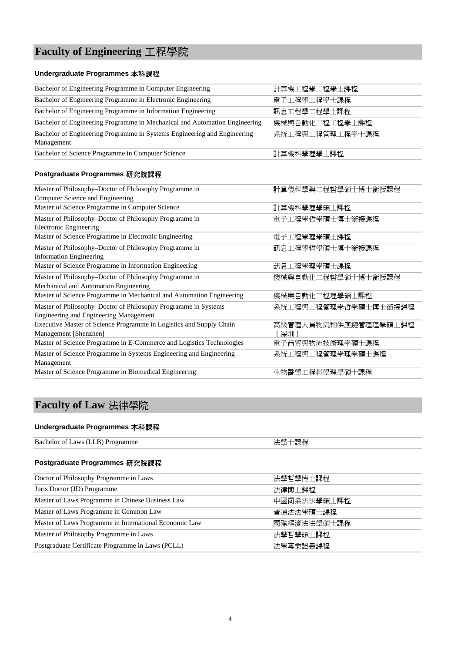## **Faculty of Engineering** 工程學院

#### **Undergraduate Programmes** 本科課程

| $\mathbf{M}$ $\mathbf{M}$ $\mathbf{M}$ $\mathbf{M}$ $\mathbf{M}$ $\mathbf{M}$ $\mathbf{M}$ $\mathbf{M}$ $\mathbf{M}$ $\mathbf{M}$ $\mathbf{M}$ $\mathbf{M}$ | 11. 「 かん・「パルイヽ」 ビメナイトナニューイトコールイ ビメナーティー コートコート コート・コート ゴーローイトコ |
|-------------------------------------------------------------------------------------------------------------------------------------------------------------|----------------------------------------------------------------|
| Postgraduate Programmes 研究院課程                                                                                                                               |                                                                |
| Bachelor of Science Programme in Computer Science                                                                                                           | 計算機科學理學士課程                                                     |
| Management                                                                                                                                                  |                                                                |
| Bachelor of Engineering Programme in Systems Engineering and Engineering                                                                                    | 系統工程與工程管理工程學士課程                                                |
| Bachelor of Engineering Programme in Mechanical and Automation Engineering                                                                                  | 機械與自動化工程工程學士課程                                                 |
| Bachelor of Engineering Programme in Information Engineering                                                                                                | 訊息工程學工程學士課程                                                    |
| Bachelor of Engineering Programme in Electronic Engineering                                                                                                 | 電子工程學工程學士課程                                                    |
| Bachelor of Engineering Programme in Computer Engineering                                                                                                   | 計算機工程學工程學士課程                                                   |
|                                                                                                                                                             |                                                                |

| Master of Philosophy-Doctor of Philosophy Programme in               | 計算機科學與工程哲學碩士博士銜接課程   |
|----------------------------------------------------------------------|----------------------|
| Computer Science and Engineering                                     |                      |
| Master of Science Programme in Computer Science                      | 計算機科學理學碩士課程          |
| Master of Philosophy–Doctor of Philosophy Programme in               | 電子工程學哲學碩士博士銜接課程      |
| Electronic Engineering                                               |                      |
| Master of Science Programme in Electronic Engineering                | 電子工程學理學碩士課程          |
| Master of Philosophy-Doctor of Philosophy Programme in               | 訊息工程學哲學碩士博士銜接課程      |
| <b>Information Engineering</b>                                       |                      |
| Master of Science Programme in Information Engineering               | 訊息工程學理學碩士課程          |
| Master of Philosophy-Doctor of Philosophy Programme in               | 機械與自動化工程哲學碩士博士銜接課程   |
| Mechanical and Automation Engineering                                |                      |
| Master of Science Programme in Mechanical and Automation Engineering | 機械與自動化工程理學碩士課程       |
| Master of Philosophy-Doctor of Philosophy Programme in Systems       | 系統工程與工程管理學哲學碩士博士銜接課程 |
| <b>Engineering and Engineering Management</b>                        |                      |
| Executive Master of Science Programme in Logistics and Supply Chain  | 高級管理人員物流和供應鏈管理理學碩士課程 |
| Management [Shenzhen]                                                | 「深圳」                 |
| Master of Science Programme in E-Commerce and Logistics Technologies | 電子商貿與物流技術理學碩士課程      |
| Master of Science Programme in Systems Engineering and Engineering   | 系統工程與工程管理學理學碩士課程     |
| Management                                                           |                      |
| Master of Science Programme in Biomedical Engineering                | 生物醫學工程科學理學碩士課程       |

### **Faculty of Law** 法律學院

#### **Undergraduate Programmes** 本科課程

| Bachelor of Laws (LLB) Programme | 用任<br>縣 |
|----------------------------------|---------|
|                                  |         |

| Doctor of Philosophy Programme in Laws                 | 法學哲學博士課程    |
|--------------------------------------------------------|-------------|
| Juris Doctor (JD) Programme                            | 法律博士課程      |
| Master of Laws Programme in Chinese Business Law       | 中國商業法法學碩士課程 |
| Master of Laws Programme in Common Law                 | 普涌法法學碩十課程   |
| Master of Laws Programme in International Economic Law | 國際經濟法法學碩十課程 |
| Master of Philosophy Programme in Laws                 | 法學哲學碩士課程    |
| Postgraduate Certificate Programme in Laws (PCLL)      | 法學專業證書課程    |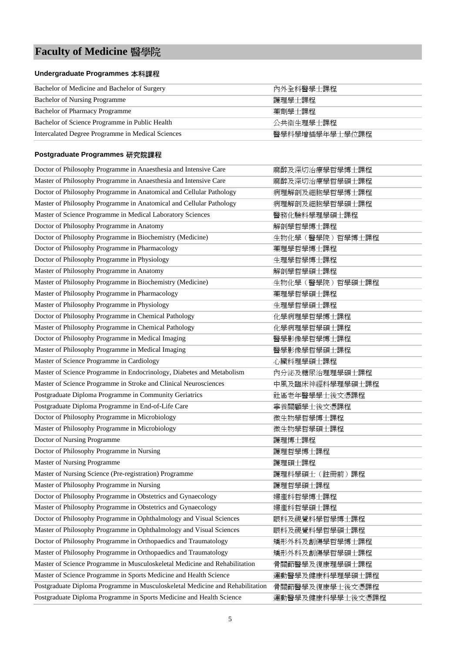## **Faculty of Medicine** 醫學院

#### **Undergraduate Programmes** 本科課程

| Bachelor of Medicine and Bachelor of Surgery      | 內外全科醫學十課程      |
|---------------------------------------------------|----------------|
| <b>Bachelor of Nursing Programme</b>              | 護理學十課程         |
| <b>Bachelor of Pharmacy Programme</b>             | 藥劑學十課程         |
| Bachelor of Science Programme in Public Health    | 公共衛牛理壆十課程      |
| Intercalated Degree Programme in Medical Sciences | 醫學科學增插學年學士學位課程 |

| Doctor of Philosophy Programme in Anaesthesia and Intensive Care              | 麻醉及深切治療學哲學博士課程    |
|-------------------------------------------------------------------------------|-------------------|
| Master of Philosophy Programme in Anaesthesia and Intensive Care              | 麻醉及深切治療學哲學碩士課程    |
| Doctor of Philosophy Programme in Anatomical and Cellular Pathology           | 病理解剖及細胞學哲學博士課程    |
| Master of Philosophy Programme in Anatomical and Cellular Pathology           | 病理解剖及細胞學哲學碩士課程    |
| Master of Science Programme in Medical Laboratory Sciences                    | 醫務化驗科學理學碩士課程      |
| Doctor of Philosophy Programme in Anatomy                                     | 解剖學哲學博士課程         |
| Doctor of Philosophy Programme in Biochemistry (Medicine)                     | 生物化學 (醫學院) 哲學博士課程 |
| Doctor of Philosophy Programme in Pharmacology                                | 藥理學哲學博士課程         |
| Doctor of Philosophy Programme in Physiology                                  | 生理學哲學博士課程         |
| Master of Philosophy Programme in Anatomy                                     | 解剖學哲學碩士課程         |
| Master of Philosophy Programme in Biochemistry (Medicine)                     | 生物化學 (醫學院) 哲學碩士課程 |
| Master of Philosophy Programme in Pharmacology                                | 藥理學哲學碩士課程         |
| Master of Philosophy Programme in Physiology                                  | 生理學哲學碩士課程         |
| Doctor of Philosophy Programme in Chemical Pathology                          | 化學病理學哲學博士課程       |
| Master of Philosophy Programme in Chemical Pathology                          | 化學病理學哲學碩士課程       |
| Doctor of Philosophy Programme in Medical Imaging                             | 醫學影像學哲學博士課程       |
| Master of Philosophy Programme in Medical Imaging                             | 醫學影像學哲學碩士課程       |
| Master of Science Programme in Cardiology                                     | 心臟科理學碩士課程         |
| Master of Science Programme in Endocrinology, Diabetes and Metabolism         | 內分泌及糖尿治理理學碩士課程    |
| Master of Science Programme in Stroke and Clinical Neurosciences              | 中風及臨床神經科學理學碩士課程   |
| Postgraduate Diploma Programme in Community Geriatrics                        | 社區老年醫學學士後文憑課程     |
| Postgraduate Diploma Programme in End-of-Life Care                            | 寧養關顧學士後文憑課程       |
| Doctor of Philosophy Programme in Microbiology                                | 微生物學哲學博士課程        |
| Master of Philosophy Programme in Microbiology                                | 微生物學哲學碩士課程        |
| Doctor of Nursing Programme                                                   | 護理博士課程            |
| Doctor of Philosophy Programme in Nursing                                     | 護理哲學博士課程          |
| Master of Nursing Programme                                                   | 護理碩士課程            |
| Master of Nursing Science (Pre-registration) Programme                        | 護理科學碩士 (註冊前)課程    |
| Master of Philosophy Programme in Nursing                                     | 護理哲學碩士課程          |
| Doctor of Philosophy Programme in Obstetrics and Gynaecology                  | 婦產科哲學博士課程         |
| Master of Philosophy Programme in Obstetrics and Gynaecology                  | 婦產科哲學碩士課程         |
| Doctor of Philosophy Programme in Ophthalmology and Visual Sciences           | 眼科及視覺科學哲學博士課程     |
| Master of Philosophy Programme in Ophthalmology and Visual Sciences           | 眼科及視覺科學哲學碩士課程     |
| Doctor of Philosophy Programme in Orthopaedics and Traumatology               | 矯形外科及創傷學哲學博士課程    |
| Master of Philosophy Programme in Orthopaedics and Traumatology               | 矯形外科及創傷學哲學碩士課程    |
| Master of Science Programme in Musculoskeletal Medicine and Rehabilitation    | 骨關節醫學及復康理學碩士課程    |
| Master of Science Programme in Sports Medicine and Health Science             | 運動醫學及健康科學理學碩士課程   |
| Postgraduate Diploma Programme in Musculoskeletal Medicine and Rehabilitation | 骨關節醫學及復康學士後文憑課程   |
| Postgraduate Diploma Programme in Sports Medicine and Health Science          | 運動醫學及健康科學學士後文憑課程  |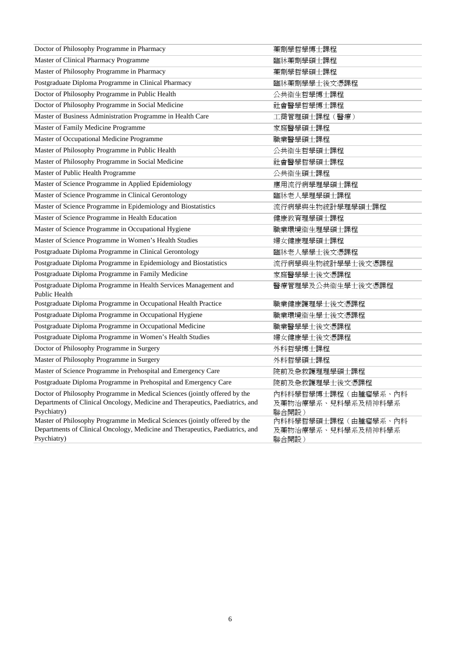| Doctor of Philosophy Programme in Pharmacy                                                                                                                                 | 藥劑學哲學博士課程                                          |
|----------------------------------------------------------------------------------------------------------------------------------------------------------------------------|----------------------------------------------------|
| Master of Clinical Pharmacy Programme                                                                                                                                      | 臨牀藥劑學碩士課程                                          |
| Master of Philosophy Programme in Pharmacy                                                                                                                                 | 藥劑學哲學碩士課程                                          |
| Postgraduate Diploma Programme in Clinical Pharmacy                                                                                                                        | 臨牀藥劑學學士後文憑課程                                       |
| Doctor of Philosophy Programme in Public Health                                                                                                                            | 公共衞生哲學博士課程                                         |
| Doctor of Philosophy Programme in Social Medicine                                                                                                                          | 社會醫學哲學博士課程                                         |
| Master of Business Administration Programme in Health Care                                                                                                                 | 工商管理碩士課程 (醫療)                                      |
| Master of Family Medicine Programme                                                                                                                                        | 家庭醫學碩士課程                                           |
| Master of Occupational Medicine Programme                                                                                                                                  | 職業醫學碩士課程                                           |
| Master of Philosophy Programme in Public Health                                                                                                                            | 公共衞生哲學碩士課程                                         |
| Master of Philosophy Programme in Social Medicine                                                                                                                          | 社會醫學哲學碩士課程                                         |
| Master of Public Health Programme                                                                                                                                          | 公共衞生碩士課程                                           |
| Master of Science Programme in Applied Epidemiology                                                                                                                        | 應用流行病學理學碩士課程                                       |
| Master of Science Programme in Clinical Gerontology                                                                                                                        | 臨牀老人學理學碩士課程                                        |
| Master of Science Programme in Epidemiology and Biostatistics                                                                                                              | 流行病學與生物統計學理學碩士課程                                   |
| Master of Science Programme in Health Education                                                                                                                            | 健康教育理學碩士課程                                         |
| Master of Science Programme in Occupational Hygiene                                                                                                                        | 職業環境衞生理學碩士課程                                       |
| Master of Science Programme in Women's Health Studies                                                                                                                      | 婦女健康理學碩士課程                                         |
| Postgraduate Diploma Programme in Clinical Gerontology                                                                                                                     | 臨牀老人學學士後文憑課程                                       |
| Postgraduate Diploma Programme in Epidemiology and Biostatistics                                                                                                           | 流行病學與生物統計學學士後文憑課程                                  |
| Postgraduate Diploma Programme in Family Medicine                                                                                                                          | 家庭醫學學士後文憑課程                                        |
| Postgraduate Diploma Programme in Health Services Management and<br>Public Health                                                                                          | 醫療管理學及公共衞生學士後文憑課程                                  |
| Postgraduate Diploma Programme in Occupational Health Practice                                                                                                             | 職業健康護理學士後文憑課程                                      |
| Postgraduate Diploma Programme in Occupational Hygiene                                                                                                                     | 職業環境衛生學士後文憑課程                                      |
| Postgraduate Diploma Programme in Occupational Medicine                                                                                                                    | 職業醫學學士後文憑課程                                        |
| Postgraduate Diploma Programme in Women's Health Studies                                                                                                                   | 婦女健康學士後文憑課程                                        |
| Doctor of Philosophy Programme in Surgery                                                                                                                                  | 外科哲學博士課程                                           |
| Master of Philosophy Programme in Surgery                                                                                                                                  | 外科哲學碩士課程                                           |
| Master of Science Programme in Prehospital and Emergency Care                                                                                                              | 院前及急救護理理學碩士課程                                      |
| Postgraduate Diploma Programme in Prehospital and Emergency Care                                                                                                           | 院前及急救護理學士後文憑課程                                     |
| Doctor of Philosophy Programme in Medical Sciences (jointly offered by the<br>Departments of Clinical Oncology, Medicine and Therapeutics, Paediatrics, and<br>Psychiatry) | 內科科學哲學博士課程(由腫瘤學系、內科<br>及藥物治療學系、兒科學系及精神科學系<br>聯合開設) |
| Master of Philosophy Programme in Medical Sciences (jointly offered by the<br>Departments of Clinical Oncology, Medicine and Therapeutics, Paediatrics, and<br>Psychiatry) | 內科科學哲學碩士課程(由腫瘤學系、內科<br>及藥物治療學系、兒科學系及精神科學系<br>聯合開設) |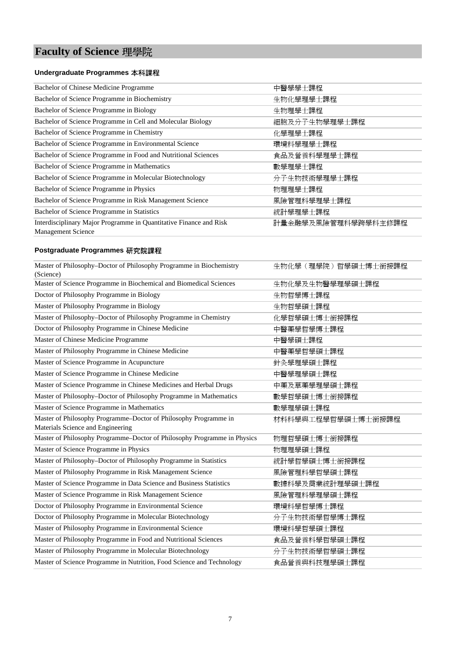## **Faculty of Science** 理學院

#### **Undergraduate Programmes** 本科課程

| Bachelor of Chinese Medicine Programme                                                          | 中醫學學士課程             |
|-------------------------------------------------------------------------------------------------|---------------------|
| Bachelor of Science Programme in Biochemistry                                                   | 生物化學理學士課程           |
| Bachelor of Science Programme in Biology                                                        | 生物理學士課程             |
| Bachelor of Science Programme in Cell and Molecular Biology                                     | 細胞及分子生物學理學士課程       |
| Bachelor of Science Programme in Chemistry                                                      | 化學理學士課程             |
| Bachelor of Science Programme in Environmental Science                                          | 環境科學理學士課程           |
| Bachelor of Science Programme in Food and Nutritional Sciences                                  | 食品及營養科學理學士課程        |
| Bachelor of Science Programme in Mathematics                                                    | 數學理學十課程             |
| Bachelor of Science Programme in Molecular Biotechnology                                        | 分子生物技術學理學士課程        |
| Bachelor of Science Programme in Physics                                                        | 物理理學士課程             |
| Bachelor of Science Programme in Risk Management Science                                        | 風險管理科學理學士課程         |
| Bachelor of Science Programme in Statistics                                                     | 統計學理學士課程            |
| Interdisciplinary Major Programme in Quantitative Finance and Risk<br><b>Management Science</b> | 計量金融學及風險管理科學跨學科主修課程 |

| Master of Philosophy-Doctor of Philosophy Programme in Biochemistry<br>(Science) | 生物化學 (理學院) 哲學碩士博士銜接課程 |
|----------------------------------------------------------------------------------|-----------------------|
| Master of Science Programme in Biochemical and Biomedical Sciences               | 生物化學及生物醫學理學碩士課程       |
| Doctor of Philosophy Programme in Biology                                        | 生物哲學博士課程              |
| Master of Philosophy Programme in Biology                                        | 生物哲學碩士課程              |
| Master of Philosophy-Doctor of Philosophy Programme in Chemistry                 | 化學哲學碩士博士銜接課程          |
| Doctor of Philosophy Programme in Chinese Medicine                               | 中醫藥學哲學博士課程            |
| Master of Chinese Medicine Programme                                             | 中醫學碩士課程               |
| Master of Philosophy Programme in Chinese Medicine                               | 中醫藥學哲學碩士課程            |
| Master of Science Programme in Acupuncture                                       | 針灸學理學碩士課程             |
| Master of Science Programme in Chinese Medicine                                  | 中醫學理學碩士課程             |
| Master of Science Programme in Chinese Medicines and Herbal Drugs                | 中藥及草藥學理學碩士課程          |
| Master of Philosophy-Doctor of Philosophy Programme in Mathematics               | 數學哲學碩士博士銜接課程          |
| Master of Science Programme in Mathematics                                       | 數學理學碩士課程              |
| Master of Philosophy Programme-Doctor of Philosophy Programme in                 | 材料科學與工程學哲學碩士博士銜接課程    |
| Materials Science and Engineering                                                |                       |
| Master of Philosophy Programme-Doctor of Philosophy Programme in Physics         | 物理哲學碩士博士銜接課程          |
| Master of Science Programme in Physics                                           | 物理理學碩士課程              |
| Master of Philosophy-Doctor of Philosophy Programme in Statistics                | 統計學哲學碩士博士銜接課程         |
| Master of Philosophy Programme in Risk Management Science                        | 風險管理科學哲學碩士課程          |
| Master of Science Programme in Data Science and Business Statistics              | 數據科學及商業統計理學碩士課程       |
| Master of Science Programme in Risk Management Science                           | 風險管理科學理學碩士課程          |
| Doctor of Philosophy Programme in Environmental Science                          | 環境科學哲學博士課程            |
| Doctor of Philosophy Programme in Molecular Biotechnology                        | 分子生物技術學哲學博士課程         |
| Master of Philosophy Programme in Environmental Science                          | 環境科學哲學碩士課程            |
| Master of Philosophy Programme in Food and Nutritional Sciences                  | 食品及營養科學哲學碩士課程         |
| Master of Philosophy Programme in Molecular Biotechnology                        | 分子生物技術學哲學碩士課程         |
| Master of Science Programme in Nutrition, Food Science and Technology            | 食品營養與科技理學碩士課程         |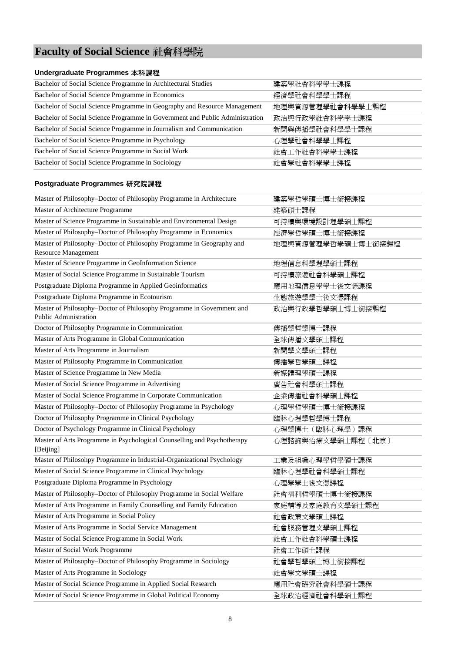## **Faculty of Social Science** 社會科學院

#### **Undergraduate Programmes** 本科課程

| Bachelor of Social Science Programme in Architectural Studies                | 建築學社會科學學士課程      |
|------------------------------------------------------------------------------|------------------|
| Bachelor of Social Science Programme in Economics                            | 經濟學社會科學學士課程      |
| Bachelor of Social Science Programme in Geography and Resource Management    | 地理與資源管理學社會科學學士課程 |
| Bachelor of Social Science Programme in Government and Public Administration | 政治與行政學社會科學學士課程   |
| Bachelor of Social Science Programme in Journalism and Communication         | 新聞與傳播學社會科學學士課程   |
| Bachelor of Social Science Programme in Psychology                           | 心理學社會科學學士課程      |
| Bachelor of Social Science Programme in Social Work                          | 社會工作社會科學學士課程     |
| Bachelor of Social Science Programme in Sociology                            | 社會學社會科學學士課程      |

| Master of Philosophy-Doctor of Philosophy Programme in Architecture                            | 建築學哲學碩士博士銜接課程      |
|------------------------------------------------------------------------------------------------|--------------------|
| Master of Architecture Programme                                                               | 建築碩士課程             |
| Master of Science Programme in Sustainable and Environmental Design                            | 可持續與環境設計理學碩士課程     |
| Master of Philosophy-Doctor of Philosophy Programme in Economics                               | 經濟學哲學碩士博士銜接課程      |
| Master of Philosophy-Doctor of Philosophy Programme in Geography and<br>Resource Management    | 地理與資源管理學哲學碩士博士銜接課程 |
| Master of Science Programme in GeoInformation Science                                          | 地理信息科學理學碩士課程       |
| Master of Social Science Programme in Sustainable Tourism                                      | 可持續旅遊社會科學碩士課程      |
| Postgraduate Diploma Programme in Applied Geoinformatics                                       | 應用地理信息學學士後文憑課程     |
| Postgraduate Diploma Programme in Ecotourism                                                   | 生態旅遊學學士後文憑課程       |
| Master of Philosophy-Doctor of Philosophy Programme in Government and<br>Public Administration | 政治與行政學哲學碩士博士銜接課程   |
| Doctor of Philosophy Programme in Communication                                                | 傳播學哲學博士課程          |
| Master of Arts Programme in Global Communication                                               | 全球傳播文學碩士課程         |
| Master of Arts Programme in Journalism                                                         | 新聞學文學碩士課程          |
| Master of Philosophy Programme in Communication                                                | 傳播學哲學碩士課程          |
| Master of Science Programme in New Media                                                       | 新媒體理學碩士課程          |
| Master of Social Science Programme in Advertising                                              | 廣告社會科學碩士課程         |
| Master of Social Science Programme in Corporate Communication                                  | 企業傳播社會科學碩士課程       |
| Master of Philosophy-Doctor of Philosophy Programme in Psychology                              | 心理學哲學碩士博士銜接課程      |
| Doctor of Philosophy Programme in Clinical Psychology                                          | 臨牀心理學哲學博士課程        |
| Doctor of Psychology Programme in Clinical Psychology                                          | 心理學博士 (臨牀心理學)課程    |
| Master of Arts Programme in Psychological Counselling and Psychotherapy<br>[Beijing]           | 心理諮詢與治療文學碩士課程〔北京〕  |
| Master of Philosohpy Programme in Industrial-Organizational Psychology                         | 工業及組織心理學哲學碩士課程     |
| Master of Social Science Programme in Clinical Psychology                                      | 臨牀心理學社會科學碩士課程      |
| Postgraduate Diploma Programme in Psychology                                                   | 心理學學士後文憑課程         |
| Master of Philosophy-Doctor of Philosophy Programme in Social Welfare                          | 社會福利哲學碩士博士銜接課程     |
| Master of Arts Programme in Family Counselling and Family Education                            | 家庭輔導及家庭教育文學碩士課程    |
| Master of Arts Programme in Social Policy                                                      | 社會政策文學碩士課程         |
| Master of Arts Programme in Social Service Management                                          | 社會服務管理文學碩士課程       |
| Master of Social Science Programme in Social Work                                              | 社會工作社會科學碩士課程       |
| Master of Social Work Programme                                                                | 社會工作碩士課程           |
| Master of Philosophy-Doctor of Philosophy Programme in Sociology                               | 社會學哲學碩士博士銜接課程      |
| Master of Arts Programme in Sociology                                                          | 社會學文學碩士課程          |
| Master of Social Science Programme in Applied Social Research                                  | 應用社會研究社會科學碩士課程     |
| Master of Social Science Programme in Global Political Economy                                 | 全球政治經濟社會科學碩士課程     |